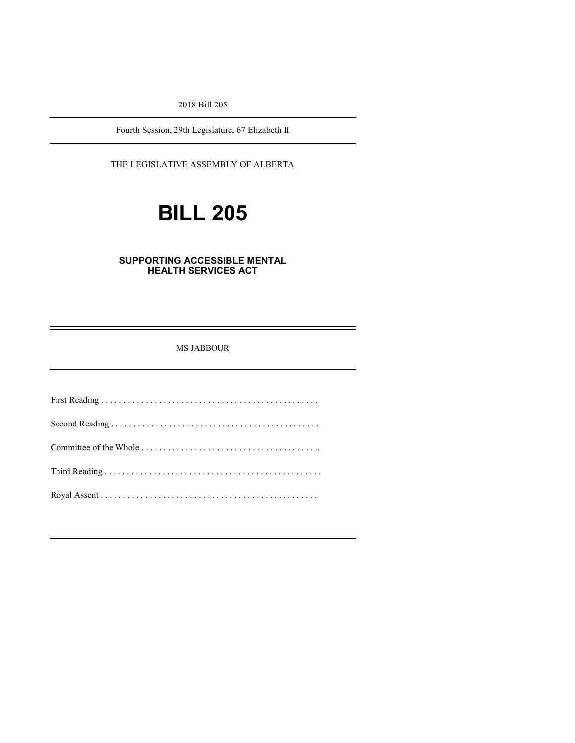2018 Bill 205

Fourth Session, 29th Legislature, 67 Elizabeth II

THE LEGISLATIVE ASSEMBLY OF ALBERTA

# **BILL 205**

#### **SUPPORTING ACCESSIBLE MENTAL HEALTH SERVICES ACT**

#### MS JABBOUR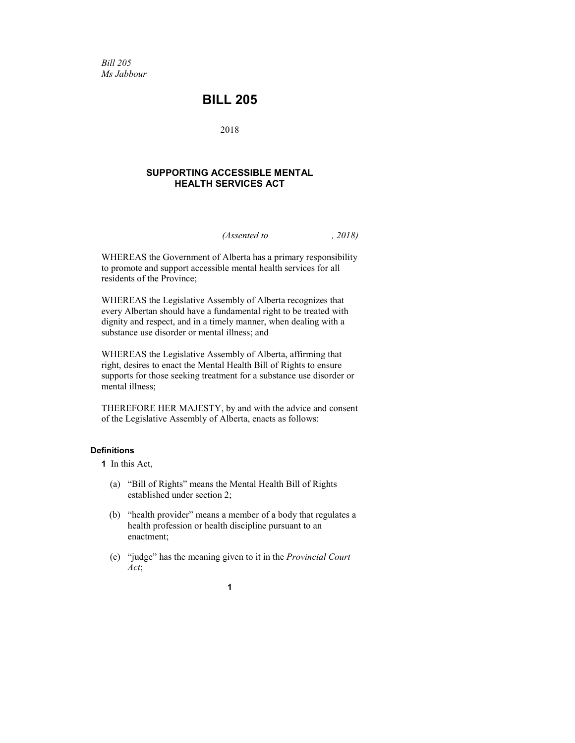*Bill 205 Ms Jabbour*

### **BILL 205**

2018

#### **SUPPORTING ACCESSIBLE MENTAL HEALTH SERVICES ACT**

*(Assented to , 2018)*

WHEREAS the Government of Alberta has a primary responsibility to promote and support accessible mental health services for all residents of the Province;

WHEREAS the Legislative Assembly of Alberta recognizes that every Albertan should have a fundamental right to be treated with dignity and respect, and in a timely manner, when dealing with a substance use disorder or mental illness; and

WHEREAS the Legislative Assembly of Alberta, affirming that right, desires to enact the Mental Health Bill of Rights to ensure supports for those seeking treatment for a substance use disorder or mental illness;

THEREFORE HER MAJESTY, by and with the advice and consent of the Legislative Assembly of Alberta, enacts as follows:

#### **Definitions**

**1** In this Act,

- (a) "Bill of Rights" means the Mental Health Bill of Rights established under section 2;
- (b) "health provider" means a member of a body that regulates a health profession or health discipline pursuant to an enactment;
- (c) "judge" has the meaning given to it in the *Provincial Court Act*;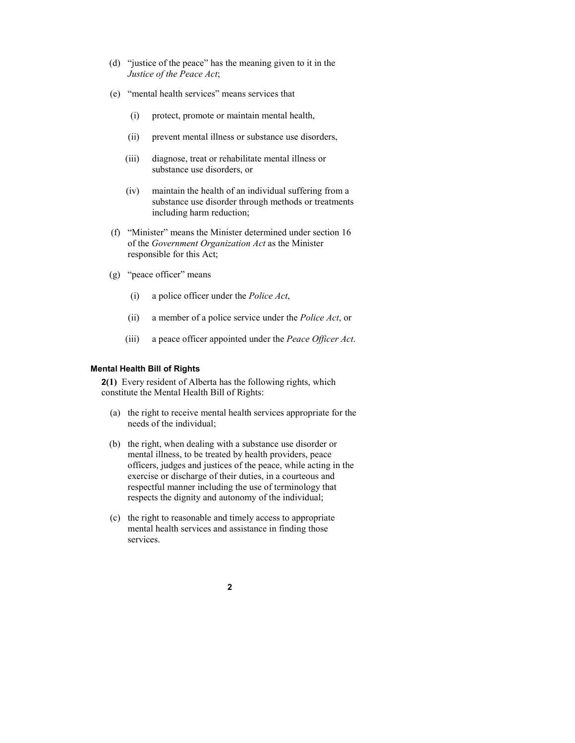- (d) "justice of the peace" has the meaning given to it in the *Justice of the Peace Act*;
- (e) "mental health services" means services that
	- (i) protect, promote or maintain mental health,
	- (ii) prevent mental illness or substance use disorders,
	- (iii) diagnose, treat or rehabilitate mental illness or substance use disorders, or
	- (iv) maintain the health of an individual suffering from a substance use disorder through methods or treatments including harm reduction;
- (f) "Minister" means the Minister determined under section 16 of the *Government Organization Act* as the Minister responsible for this Act;
- (g) "peace officer" means
	- (i) a police officer under the *Police Act*,
	- (ii) a member of a police service under the *Police Act*, or
	- (iii) a peace officer appointed under the *Peace Officer Act*.

#### **Mental Health Bill of Rights**

**2(1)** Every resident of Alberta has the following rights, which constitute the Mental Health Bill of Rights:

- (a) the right to receive mental health services appropriate for the needs of the individual;
- (b) the right, when dealing with a substance use disorder or mental illness, to be treated by health providers, peace officers, judges and justices of the peace, while acting in the exercise or discharge of their duties, in a courteous and respectful manner including the use of terminology that respects the dignity and autonomy of the individual;
- (c) the right to reasonable and timely access to appropriate mental health services and assistance in finding those services.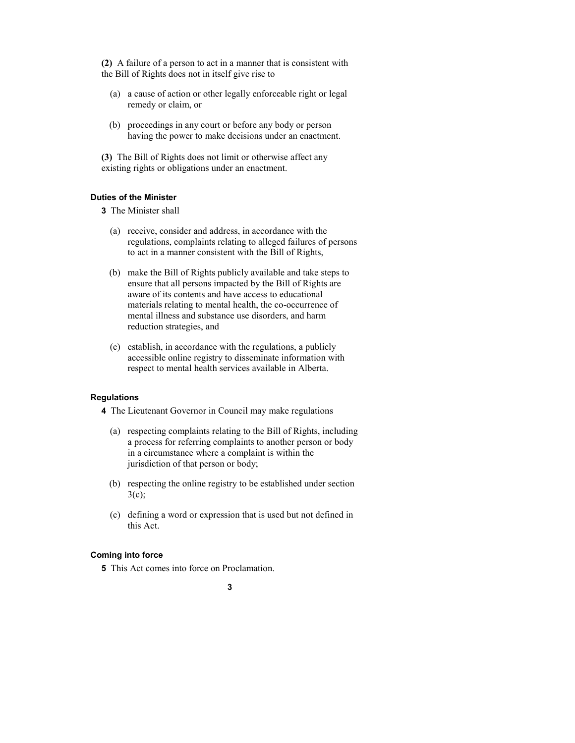**(2)** A failure of a person to act in a manner that is consistent with the Bill of Rights does not in itself give rise to

- (a) a cause of action or other legally enforceable right or legal remedy or claim, or
- (b) proceedings in any court or before any body or person having the power to make decisions under an enactment.

**(3)** The Bill of Rights does not limit or otherwise affect any existing rights or obligations under an enactment.

#### **Duties of the Minister**

- **3** The Minister shall
	- (a) receive, consider and address, in accordance with the regulations, complaints relating to alleged failures of persons to act in a manner consistent with the Bill of Rights,
	- (b) make the Bill of Rights publicly available and take steps to ensure that all persons impacted by the Bill of Rights are aware of its contents and have access to educational materials relating to mental health, the co-occurrence of mental illness and substance use disorders, and harm reduction strategies, and
	- (c) establish, in accordance with the regulations, a publicly accessible online registry to disseminate information with respect to mental health services available in Alberta.

#### **Regulations**

**4** The Lieutenant Governor in Council may make regulations

- (a) respecting complaints relating to the Bill of Rights, including a process for referring complaints to another person or body in a circumstance where a complaint is within the jurisdiction of that person or body;
- (b) respecting the online registry to be established under section  $3(c)$ ;
- (c) defining a word or expression that is used but not defined in this Act.

#### **Coming into force**

**5** This Act comes into force on Proclamation.